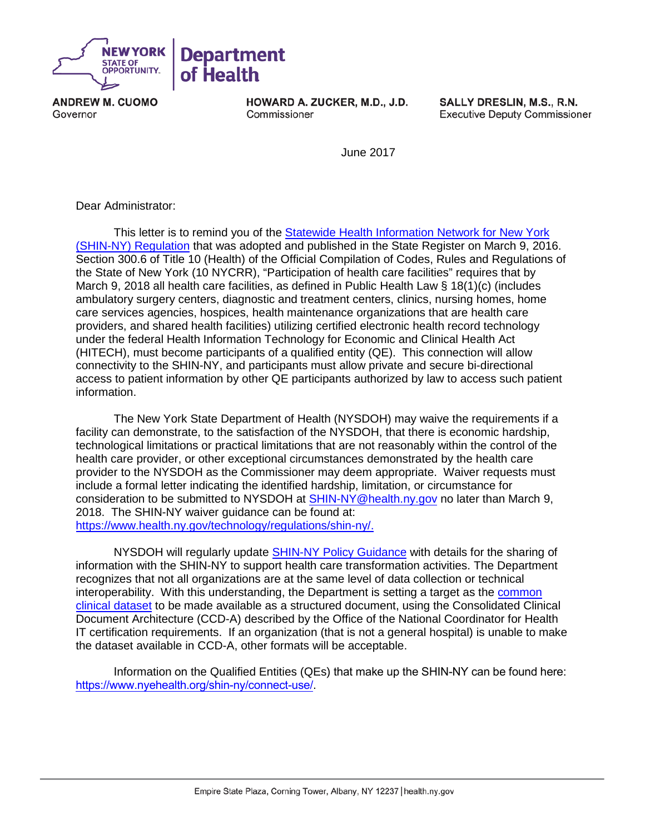

**ANDREW M. CUOMO** Governor

HOWARD A. ZUCKER, M.D., J.D. Commissioner

SALLY DRESLIN, M.S., R.N. **Executive Deputy Commissioner** 

June 2017

Dear Administrator:

This letter is to remind you of the [Statewide Health Information Network](https://regs.health.ny.gov/sites/default/files/pdf/recently_adopted_regulations/2016-03-09_shin_ny.pdf) for New York [\(SHIN-NY\) Regulation](https://regs.health.ny.gov/sites/default/files/pdf/recently_adopted_regulations/2016-03-09_shin_ny.pdf) that was adopted and published in the State Register on March 9, 2016. Section 300.6 of Title 10 (Health) of the Official Compilation of Codes, Rules and Regulations of the State of New York (10 NYCRR), "Participation of health care facilities" requires that by March 9, 2018 all health care facilities, as defined in Public Health Law § 18(1)(c) (includes ambulatory surgery centers, diagnostic and treatment centers, clinics, nursing homes, home care services agencies, hospices, health maintenance organizations that are health care providers, and shared health facilities) utilizing certified electronic health record technology under the federal Health Information Technology for Economic and Clinical Health Act (HITECH), must become participants of a qualified entity (QE). This connection will allow connectivity to the SHIN-NY, and participants must allow private and secure bi-directional access to patient information by other QE participants authorized by law to access such patient information.

The New York State Department of Health (NYSDOH) may waive the requirements if a facility can demonstrate, to the satisfaction of the NYSDOH, that there is economic hardship, technological limitations or practical limitations that are not reasonably within the control of the health care provider, or other exceptional circumstances demonstrated by the health care provider to the NYSDOH as the Commissioner may deem appropriate. Waiver requests must include a formal letter indicating the identified hardship, limitation, or circumstance for consideration to be submitted to NYSDOH at [SHIN-NY@health.ny.gov](mailto:SHIN-NY@health.ny.gov) no later than March 9, 2018. The SHIN-NY waiver guidance can be found at: [https://www.health.ny.gov/technology/regulations/shin-ny/.](https://www.health.ny.gov/technology/regulations/shin-ny/)

NYSDOH will regularly updat[e SHIN-NY Policy Guidance](https://www.health.ny.gov/technology/regulations/shin-ny/) with details for the sharing of information with the SHIN-NY to support health care transformation activities. The Department recognizes that not all organizations are at the same level of data collection or technical interoperability. With this understanding, the Department is setting a target as the [common](https://www.healthit.gov/sites/default/files/commonclinicaldataset_ml_11-4-15.pdf)  [clinical dataset](https://www.healthit.gov/sites/default/files/commonclinicaldataset_ml_11-4-15.pdf) to be made available as a structured document, using the Consolidated Clinical Document Architecture (CCD-A) described by the Office of the National Coordinator for Health IT certification requirements. If an organization (that is not a general hospital) is unable to make the dataset available in CCD-A, other formats will be acceptable.

Information on the Qualified Entities (QEs) that make up the SHIN-NY can be found here: <https://www.nyehealth.org/shin-ny/connect-use/>.